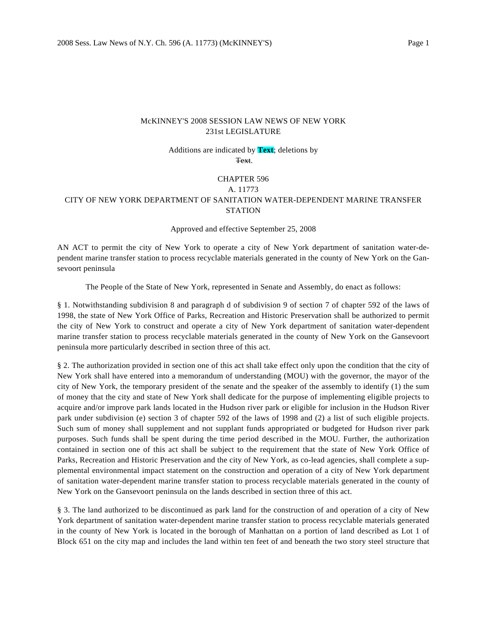## McKINNEY'S 2008 SESSION LAW NEWS OF NEW YORK 231st LEGISLATURE

Additions are indicated by **Text**; deletions by Text.

## CHAPTER 596

## A. 11773

## CITY OF NEW YORK DEPARTMENT OF SANITATION WATER-DEPENDENT MARINE TRANSFER **STATION**

Approved and effective September 25, 2008

AN ACT to permit the city of New York to operate a city of New York department of sanitation water-dependent marine transfer station to process recyclable materials generated in the county of New York on the Gansevoort peninsula

The People of the State of New York, represented in Senate and Assembly, do enact as follows:

§ 1. Notwithstanding subdivision 8 and paragraph d of subdivision 9 of section 7 of chapter 592 of the laws of 1998, the state of New York Office of Parks, Recreation and Historic Preservation shall be authorized to permit the city of New York to construct and operate a city of New York department of sanitation water-dependent marine transfer station to process recyclable materials generated in the county of New York on the Gansevoort peninsula more particularly described in section three of this act.

§ 2. The authorization provided in section one of this act shall take effect only upon the condition that the city of New York shall have entered into a memorandum of understanding (MOU) with the governor, the mayor of the city of New York, the temporary president of the senate and the speaker of the assembly to identify (1) the sum of money that the city and state of New York shall dedicate for the purpose of implementing eligible projects to acquire and/or improve park lands located in the Hudson river park or eligible for inclusion in the Hudson River park under subdivision (e) section 3 of chapter 592 of the laws of 1998 and (2) a list of such eligible projects. Such sum of money shall supplement and not supplant funds appropriated or budgeted for Hudson river park purposes. Such funds shall be spent during the time period described in the MOU. Further, the authorization contained in section one of this act shall be subject to the requirement that the state of New York Office of Parks, Recreation and Historic Preservation and the city of New York, as co-lead agencies, shall complete a supplemental environmental impact statement on the construction and operation of a city of New York department of sanitation water-dependent marine transfer station to process recyclable materials generated in the county of New York on the Gansevoort peninsula on the lands described in section three of this act.

§ 3. The land authorized to be discontinued as park land for the construction of and operation of a city of New York department of sanitation water-dependent marine transfer station to process recyclable materials generated in the county of New York is located in the borough of Manhattan on a portion of land described as Lot 1 of Block 651 on the city map and includes the land within ten feet of and beneath the two story steel structure that